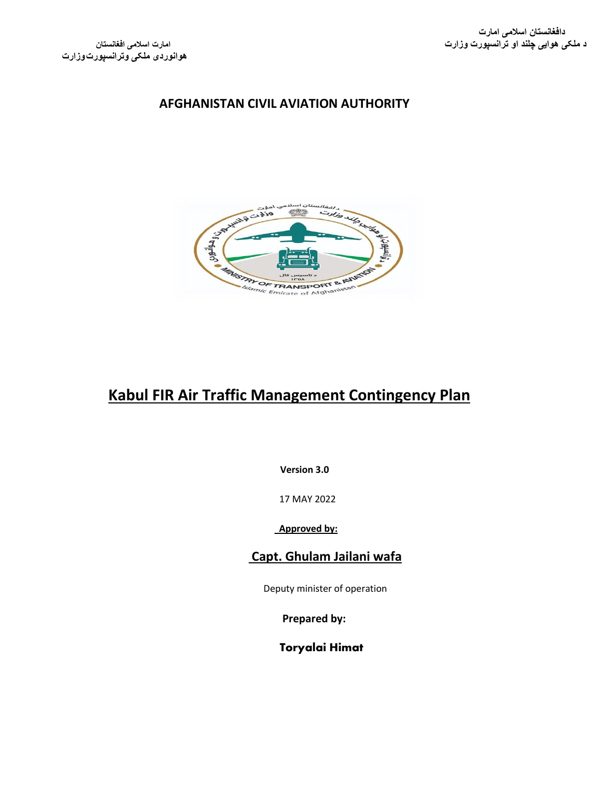

# **Kabul FIR Air Traffic Management Contingency Plan**

**Version 3.0**

17 MAY 2022

 **Approved by:**

### **Capt. Ghulam Jailani wafa**

Deputy minister of operation

**Prepared by:**

Toryalai Himat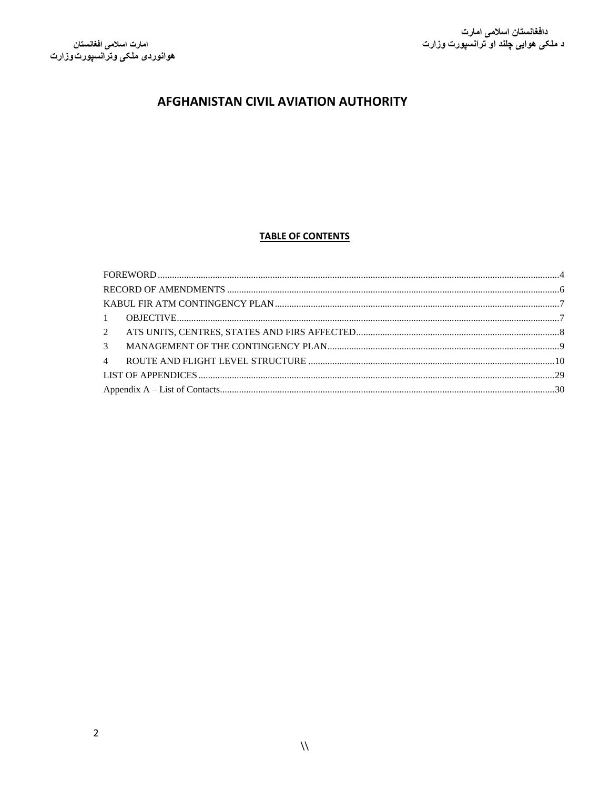#### **TABLE OF CONTENTS**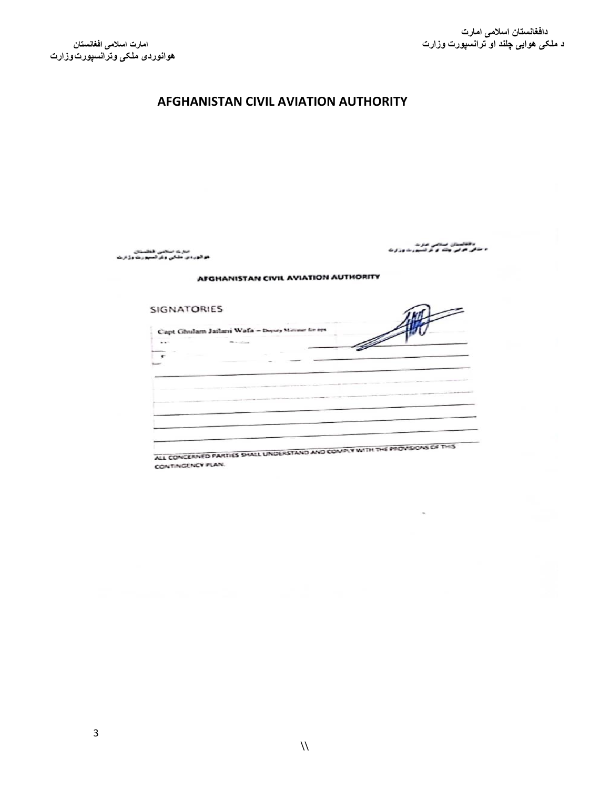دهاشتان منجی عزت<br>د مذکی هرای چلد از از تسین به وزارت

### **AFGHANISTAN CIVIL AVIATION AUTHORITY**

مترے منجنی فخلستان<br>هو گور دی ملکی وی آسپورے وزارے

#### **AFGHANISTAN CIVIL AVIATION AUTHORITY**

| <b>SIGNATORIES</b>                                                            |  |
|-------------------------------------------------------------------------------|--|
| Capt Ghulam Jailani Wafa - Deputy Meroser for ops                             |  |
| - -<br><b><i><u>All County</u></i></b>                                        |  |
|                                                                               |  |
|                                                                               |  |
|                                                                               |  |
|                                                                               |  |
|                                                                               |  |
|                                                                               |  |
|                                                                               |  |
|                                                                               |  |
|                                                                               |  |
| ALL CONCERNED PARTIES SHALL UNDERSTAND AND COMPLY WITH THE PROVISIONS OF THIS |  |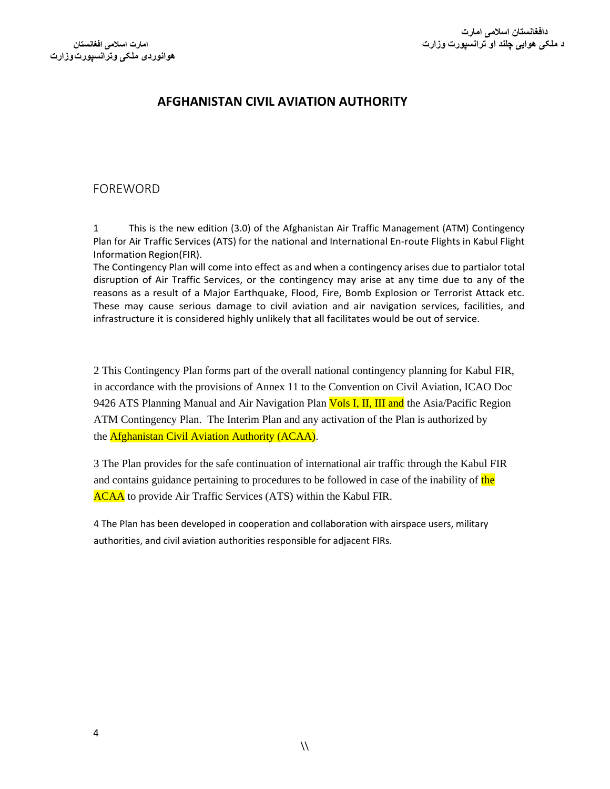### <span id="page-3-0"></span>FOREWORD

1 This is the new edition (3.0) of the Afghanistan Air Traffic Management (ATM) Contingency Plan for Air Traffic Services (ATS) for the national and International En-route Flights in Kabul Flight Information Region(FIR).

The Contingency Plan will come into effect as and when a contingency arises due to partialor total disruption of Air Traffic Services, or the contingency may arise at any time due to any of the reasons as a result of a Major Earthquake, Flood, Fire, Bomb Explosion or Terrorist Attack etc. These may cause serious damage to civil aviation and air navigation services, facilities, and infrastructure it is considered highly unlikely that all facilitates would be out of service.

2 This Contingency Plan forms part of the overall national contingency planning for Kabul FIR, in accordance with the provisions of Annex 11 to the Convention on Civil Aviation, ICAO Doc 9426 ATS Planning Manual and Air Navigation Plan **Vols I, II, III and** the Asia/Pacific Region ATM Contingency Plan. The Interim Plan and any activation of the Plan is authorized by the Afghanistan Civil Aviation Authority (ACAA).

3 The Plan provides for the safe continuation of international air traffic through the Kabul FIR and contains guidance pertaining to procedures to be followed in case of the inability of the **ACAA** to provide Air Traffic Services (ATS) within the Kabul FIR.

4 The Plan has been developed in cooperation and collaboration with airspace users, military authorities, and civil aviation authorities responsible for adjacent FIRs.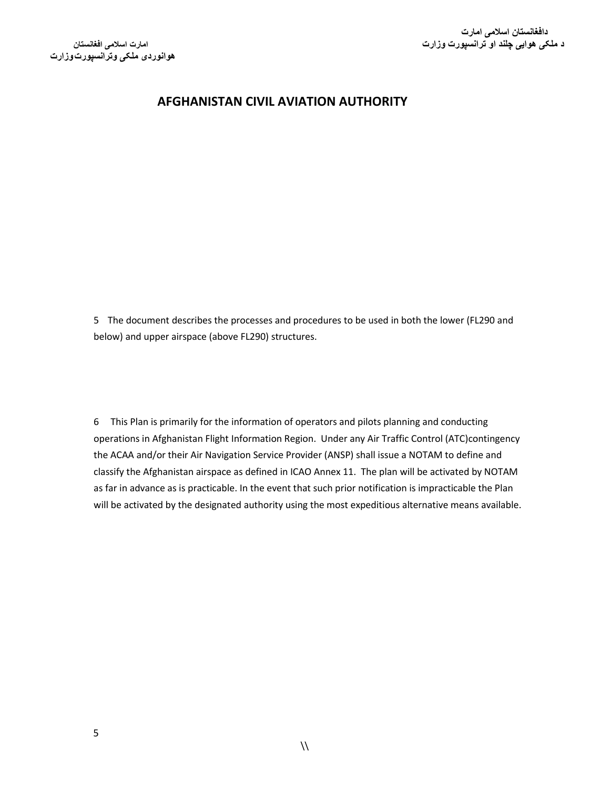5 The document describes the processes and procedures to be used in both the lower (FL290 and below) and upper airspace (above FL290) structures.

6 This Plan is primarily for the information of operators and pilots planning and conducting operations in Afghanistan Flight Information Region. Under any Air Traffic Control (ATC)contingency the ACAA and/or their Air Navigation Service Provider (ANSP) shall issue a NOTAM to define and classify the Afghanistan airspace as defined in ICAO Annex 11. The plan will be activated by NOTAM as far in advance as is practicable. In the event that such prior notification is impracticable the Plan will be activated by the designated authority using the most expeditious alternative means available.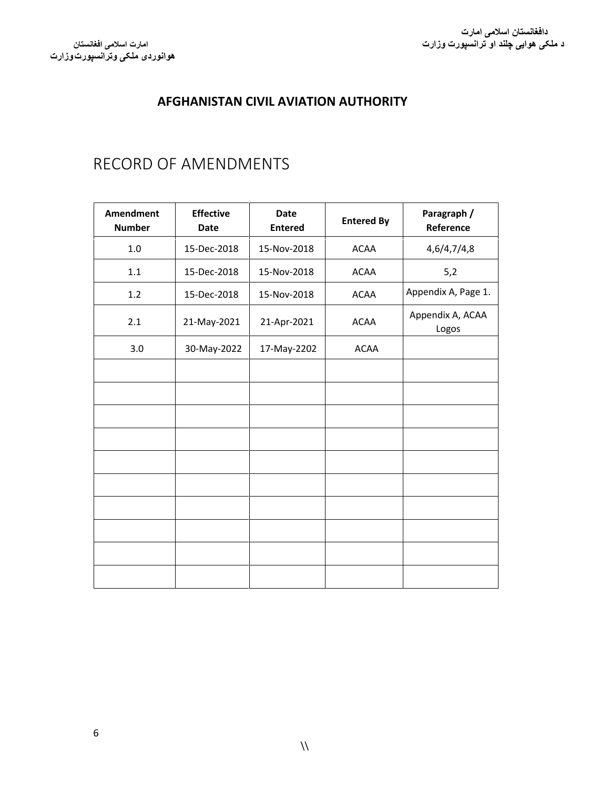# <span id="page-5-0"></span>RECORD OF AMENDMENTS

| <b>Amendment</b><br><b>Number</b> | <b>Effective</b><br><b>Date</b> | <b>Date</b><br><b>Entered</b> | <b>Entered By</b> | Paragraph /<br>Reference  |
|-----------------------------------|---------------------------------|-------------------------------|-------------------|---------------------------|
| 1.0                               | 15-Dec-2018                     | 15-Nov-2018                   | <b>ACAA</b>       | 4,6/4,7/4,8               |
| $1.1\,$                           | 15-Dec-2018                     | 15-Nov-2018                   | <b>ACAA</b>       | 5,2                       |
| 1.2                               | 15-Dec-2018                     | 15-Nov-2018                   | <b>ACAA</b>       | Appendix A, Page 1.       |
| 2.1                               | 21-May-2021                     | 21-Apr-2021                   | <b>ACAA</b>       | Appendix A, ACAA<br>Logos |
| 3.0                               | 30-May-2022                     | 17-May-2202                   | <b>ACAA</b>       |                           |
|                                   |                                 |                               |                   |                           |
|                                   |                                 |                               |                   |                           |
|                                   |                                 |                               |                   |                           |
|                                   |                                 |                               |                   |                           |
|                                   |                                 |                               |                   |                           |
|                                   |                                 |                               |                   |                           |
|                                   |                                 |                               |                   |                           |
|                                   |                                 |                               |                   |                           |
|                                   |                                 |                               |                   |                           |
|                                   |                                 |                               |                   |                           |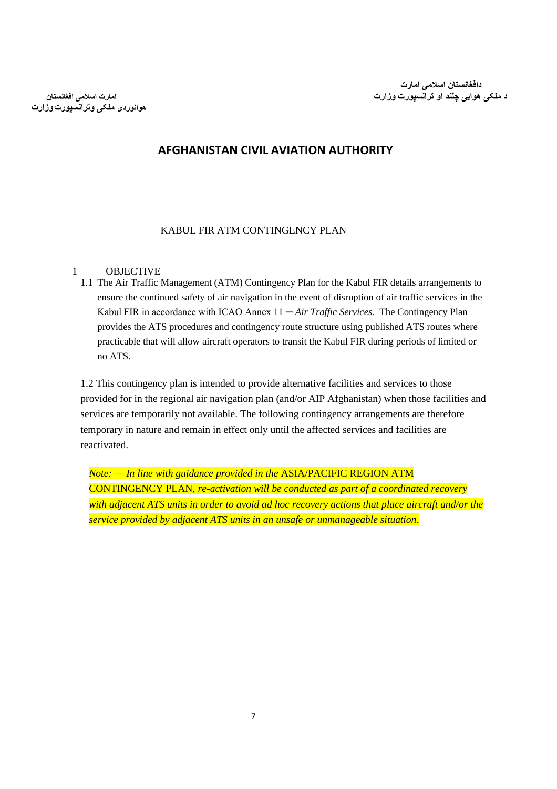**هوانوردی ملکی وترانسپورتوزارت**

### **AFGHANISTAN CIVIL AVIATION AUTHORITY**

#### KABUL FIR ATM CONTINGENCY PLAN

#### <span id="page-6-1"></span><span id="page-6-0"></span>1 OBJECTIVE

1.1 The Air Traffic Management (ATM) Contingency Plan for the Kabul FIR details arrangements to ensure the continued safety of air navigation in the event of disruption of air traffic services in the Kabul FIR in accordance with ICAO Annex 11 ─ *Air Traffic Services.* The Contingency Plan provides the ATS procedures and contingency route structure using published ATS routes where practicable that will allow aircraft operators to transit the Kabul FIR during periods of limited or no ATS.

1.2 This contingency plan is intended to provide alternative facilities and services to those provided for in the regional air navigation plan (and/or AIP Afghanistan) when those facilities and services are temporarily not available. The following contingency arrangements are therefore temporary in nature and remain in effect only until the affected services and facilities are reactivated.

*Note: — In line with guidance provided in the* ASIA/PACIFIC REGION ATM CONTINGENCY PLAN*, re-activation will be conducted as part of a coordinated recovery with adjacent ATS units in order to avoid ad hoc recovery actions that place aircraft and/or the service provided by adjacent ATS units in an unsafe or unmanageable situation*.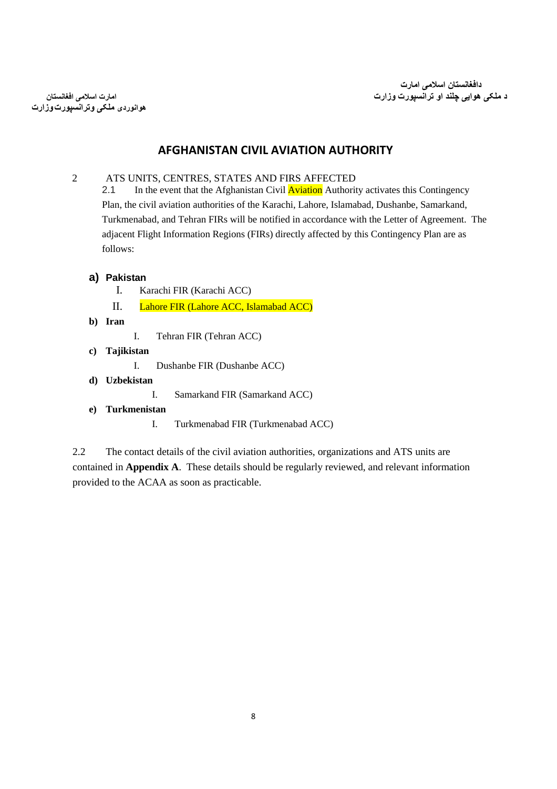**هوانوردی ملکی وترانسپورتوزارت**

### **AFGHANISTAN CIVIL AVIATION AUTHORITY**

<span id="page-7-0"></span>2 ATS UNITS, CENTRES, STATES AND FIRS AFFECTED

2.1 In the event that the Afghanistan Civil **Aviation** Authority activates this Contingency Plan, the civil aviation authorities of the Karachi, Lahore, Islamabad, Dushanbe, Samarkand, Turkmenabad, and Tehran FIRs will be notified in accordance with the Letter of Agreement. The adjacent Flight Information Regions (FIRs) directly affected by this Contingency Plan are as follows:

#### **a) Pakistan**

- I. Karachi FIR (Karachi ACC)
- II. Lahore FIR (Lahore ACC, Islamabad ACC)
- **b) Iran**
- I. Tehran FIR (Tehran ACC)
- **c) Tajikistan** 
	- I. Dushanbe FIR (Dushanbe ACC)
- **d) Uzbekistan** 
	- I. Samarkand FIR (Samarkand ACC)
- **e) Turkmenistan** 
	- I. Turkmenabad FIR (Turkmenabad ACC)

2.2 The contact details of the civil aviation authorities, organizations and ATS units are contained in **Appendix A**. These details should be regularly reviewed, and relevant information provided to the ACAA as soon as practicable.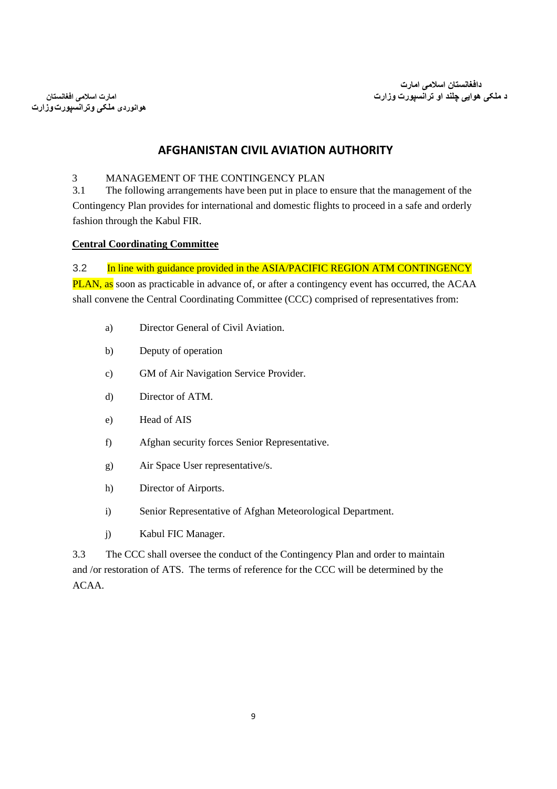**هوانوردی ملکی وترانسپورتوزارت**

### **AFGHANISTAN CIVIL AVIATION AUTHORITY**

#### <span id="page-8-0"></span>3 MANAGEMENT OF THE CONTINGENCY PLAN

3.1 The following arrangements have been put in place to ensure that the management of the Contingency Plan provides for international and domestic flights to proceed in a safe and orderly fashion through the Kabul FIR.

#### **Central Coordinating Committee**

3.2 In line with guidance provided in the ASIA/PACIFIC REGION ATM CONTINGENCY PLAN, as soon as practicable in advance of, or after a contingency event has occurred, the ACAA shall convene the Central Coordinating Committee (CCC) comprised of representatives from:

- a) Director General of Civil Aviation.
- b) Deputy of operation
- c) GM of Air Navigation Service Provider.
- d) Director of ATM.
- e) Head of AIS
- f) Afghan security forces Senior Representative.
- g) Air Space User representative/s.
- h) Director of Airports.
- i) Senior Representative of Afghan Meteorological Department.
- j) Kabul FIC Manager.

3.3 The CCC shall oversee the conduct of the Contingency Plan and order to maintain and /or restoration of ATS. The terms of reference for the CCC will be determined by the ACAA.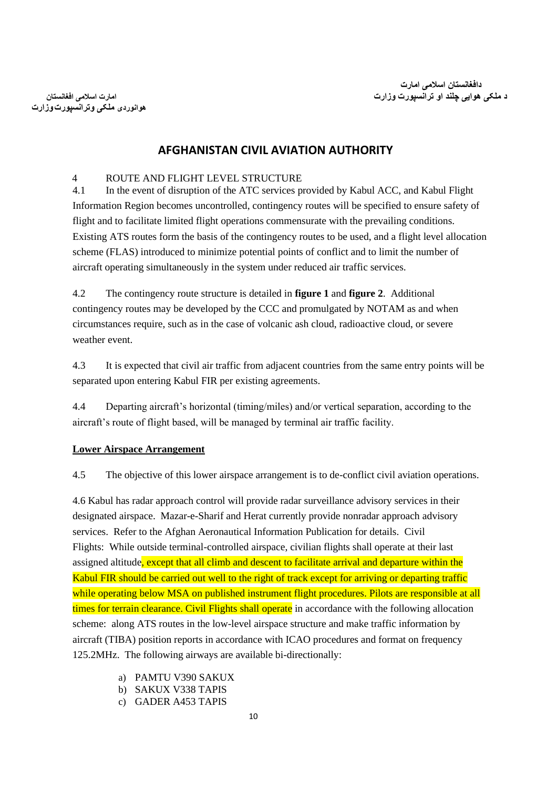**هوانوردی ملکی وترانسپورتوزارت**

### **AFGHANISTAN CIVIL AVIATION AUTHORITY**

#### <span id="page-9-0"></span>4 ROUTE AND FLIGHT LEVEL STRUCTURE

4.1 In the event of disruption of the ATC services provided by Kabul ACC, and Kabul Flight Information Region becomes uncontrolled, contingency routes will be specified to ensure safety of flight and to facilitate limited flight operations commensurate with the prevailing conditions. Existing ATS routes form the basis of the contingency routes to be used, and a flight level allocation scheme (FLAS) introduced to minimize potential points of conflict and to limit the number of aircraft operating simultaneously in the system under reduced air traffic services.

4.2 The contingency route structure is detailed in **figure 1** and **figure 2**. Additional contingency routes may be developed by the CCC and promulgated by NOTAM as and when circumstances require, such as in the case of volcanic ash cloud, radioactive cloud, or severe weather event.

4.3 It is expected that civil air traffic from adjacent countries from the same entry points will be separated upon entering Kabul FIR per existing agreements.

4.4 Departing aircraft's horizontal (timing/miles) and/or vertical separation, according to the aircraft's route of flight based, will be managed by terminal air traffic facility.

#### **Lower Airspace Arrangement**

4.5 The objective of this lower airspace arrangement is to de-conflict civil aviation operations.

4.6 Kabul has radar approach control will provide radar surveillance advisory services in their designated airspace. Mazar-e-Sharif and Herat currently provide nonradar approach advisory services. Refer to the Afghan Aeronautical Information Publication for details. Civil Flights: While outside terminal-controlled airspace, civilian flights shall operate at their last assigned altitude, except that all climb and descent to facilitate arrival and departure within the Kabul FIR should be carried out well to the right of track except for arriving or departing traffic while operating below MSA on published instrument flight procedures. Pilots are responsible at all times for terrain clearance. Civil Flights shall operate in accordance with the following allocation scheme: along ATS routes in the low-level airspace structure and make traffic information by aircraft (TIBA) position reports in accordance with ICAO procedures and format on frequency 125.2MHz. The following airways are available bi-directionally:

- a) PAMTU V390 SAKUX
- b) SAKUX V338 TAPIS
- c) GADER A453 TAPIS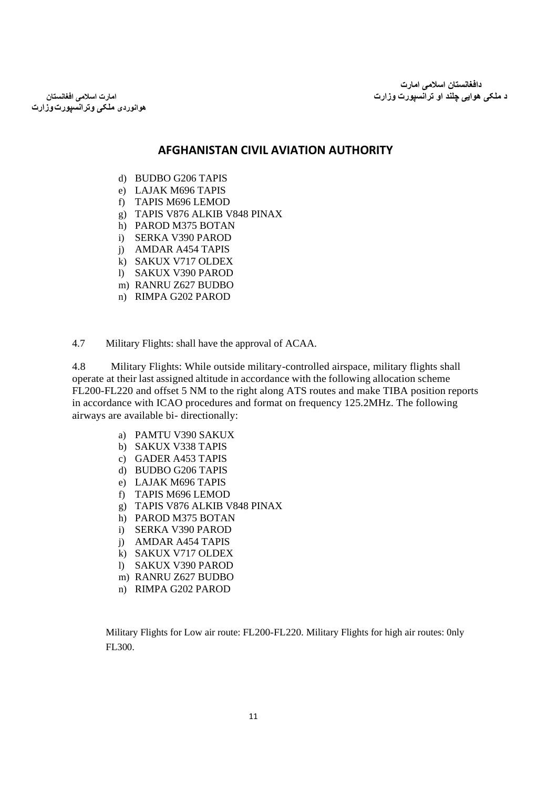**هوانوردی ملکی وترانسپورتوزارت**

### **AFGHANISTAN CIVIL AVIATION AUTHORITY**

- d) BUDBO G206 TAPIS
- e) LAJAK M696 TAPIS
- f) TAPIS M696 LEMOD
- g) TAPIS V876 ALKIB V848 PINAX
- h) PAROD M375 BOTAN
- i) SERKA V390 PAROD
- j) AMDAR A454 TAPIS
- k) SAKUX V717 OLDEX
- l) SAKUX V390 PAROD
- m) RANRU Z627 BUDBO
- n) RIMPA G202 PAROD

4.7 Military Flights: shall have the approval of ACAA.

4.8 Military Flights: While outside military-controlled airspace, military flights shall operate at their last assigned altitude in accordance with the following allocation scheme FL200-FL220 and offset 5 NM to the right along ATS routes and make TIBA position reports in accordance with ICAO procedures and format on frequency 125.2MHz. The following airways are available bi- directionally:

- a) PAMTU V390 SAKUX
- b) SAKUX V338 TAPIS
- c) GADER A453 TAPIS
- d) BUDBO G206 TAPIS
- e) LAJAK M696 TAPIS
- f) TAPIS M696 LEMOD
- g) TAPIS V876 ALKIB V848 PINAX
- h) PAROD M375 BOTAN
- i) SERKA V390 PAROD
- j) AMDAR A454 TAPIS
- k) SAKUX V717 OLDEX
- l) SAKUX V390 PAROD
- m) RANRU Z627 BUDBO
- n) RIMPA G202 PAROD

Military Flights for Low air route: FL200-FL220. Military Flights for high air routes: 0nly FL300.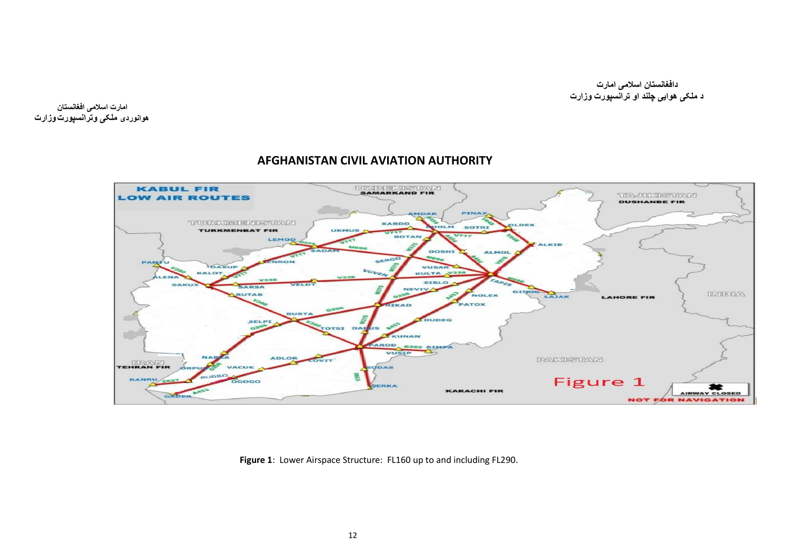**امارت اسالمی افغانستان هوانوردی ملکی وترانسپورتوزارت**

#### UZBEKUSTAN **KABUL FIR** TA-JUKISTANI **LOW AIR ROUTES DUSHANBE FIR** PINAX MDAR TURKIMENISTAN **XARDO OLDEX**  $QLM$ **SOTRI TURKMENBAT FIR UKMUS BOTAN** LEMOD **ALKTR DOSH ALMOL** SERGO UPON PAMTU DAXUP VUSAR VUVEN  $V33$ **KALOT KULTA SIBLO** SAKU  $SAPSA$ NEVIV A GIDOG **INDIA PUTAR** NOLEX LAJAK **LAHORE FIR** PATOX **IKAD BURTA DUDEG** SELPI OTSI DAR **KUNAN** PAROD G202 RIMPA VUSIP  $\sim$ **ADLOR FARGETANI TEHRAN FIR** COVIT VACUI  $q_{\text{DAS}}$ BUDBO 660 Figure 1 RANRU OGOGO SERKA **KARACHI FIR** AY CLOS GADER **NOT FOR NAVIGATION**

### **AFGHANISTAN CIVIL AVIATION AUTHORITY**

**Figure 1**: Lower Airspace Structure: FL160 up to and including FL290.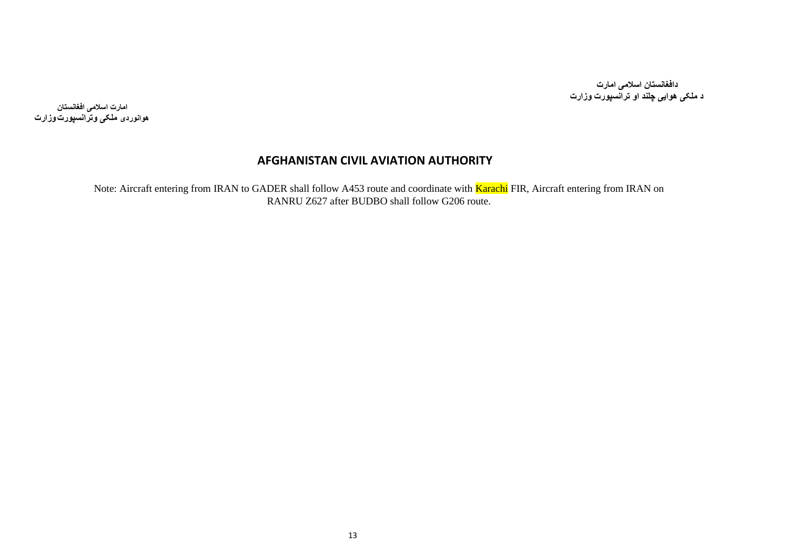**امارت اسالمی افغانستان هوانوردی ملکی وترانسپورتوزارت**

### **AFGHANISTAN CIVIL AVIATION AUTHORITY**

Note: Aircraft entering from IRAN to GADER shall follow A453 route and coordinate with **Karachi** FIR, Aircraft entering from IRAN on RANRU Z627 after BUDBO shall follow G206 route.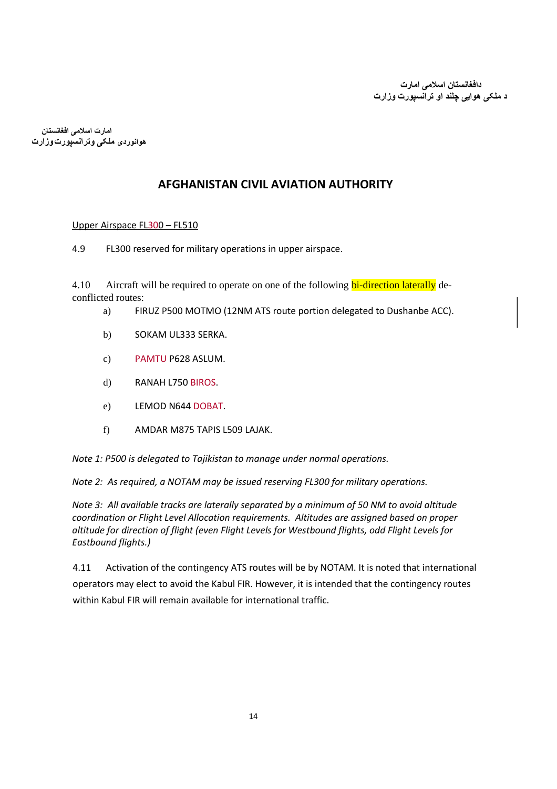**امارت اسالمی افغانستان هوانوردی ملکی وترانسپورتوزارت**

### **AFGHANISTAN CIVIL AVIATION AUTHORITY**

#### Upper Airspace FL300 – FL510

4.9 FL300 reserved for military operations in upper airspace.

4.10 Aircraft will be required to operate on one of the following **bi-direction laterally** deconflicted routes:

- a) FIRUZ P500 MOTMO (12NM ATS route portion delegated to Dushanbe ACC).
- b) SOKAM UL333 SERKA.
- c) PAMTU P628 ASLUM.
- d) RANAH L750 BIROS.
- e) LEMOD N644 DOBAT.
- f) AMDAR M875 TAPIS L509 LAJAK.

*Note 1: P500 is delegated to Tajikistan to manage under normal operations.*

*Note 2: As required, a NOTAM may be issued reserving FL300 for military operations.* 

*Note 3: All available tracks are laterally separated by a minimum of 50 NM to avoid altitude coordination or Flight Level Allocation requirements. Altitudes are assigned based on proper altitude for direction of flight (even Flight Levels for Westbound flights, odd Flight Levels for Eastbound flights.)* 

4.11 Activation of the contingency ATS routes will be by NOTAM. It is noted that international operators may elect to avoid the Kabul FIR. However, it is intended that the contingency routes within Kabul FIR will remain available for international traffic.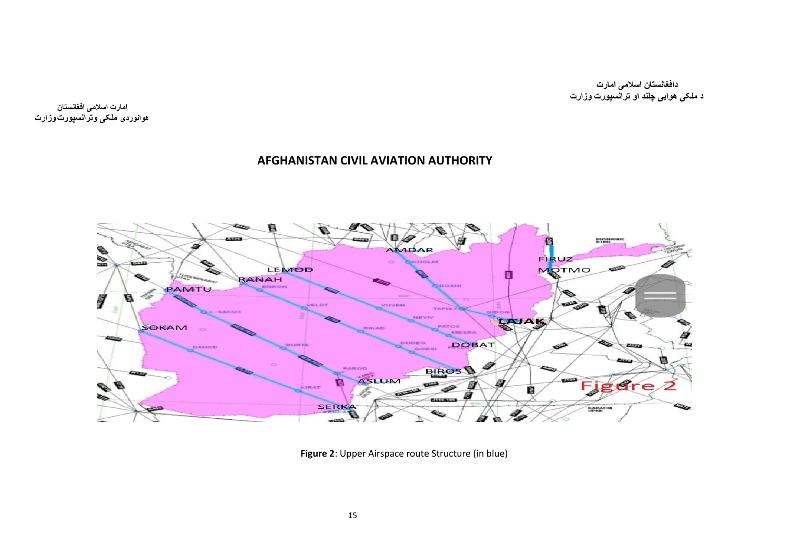**امارت اسالمی افغانستان هوانوردی ملکی وترانسپورتوزارت**

### **AFGHANISTAN CIVIL AVIATION AUTHORITY**



**Figure 2**: Upper Airspace route Structure (in blue)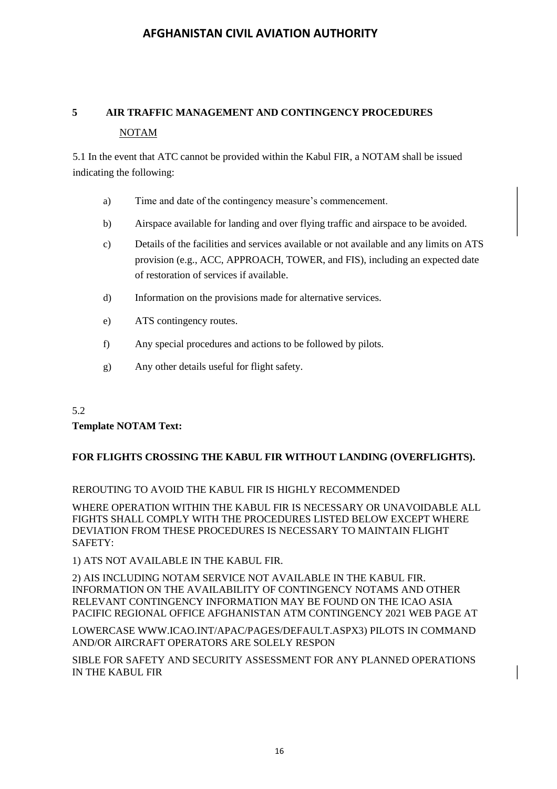## **5 AIR TRAFFIC MANAGEMENT AND CONTINGENCY PROCEDURES**  NOTAM

5.1 In the event that ATC cannot be provided within the Kabul FIR, a NOTAM shall be issued indicating the following:

- a) Time and date of the contingency measure's commencement.
- b) Airspace available for landing and over flying traffic and airspace to be avoided.
- c) Details of the facilities and services available or not available and any limits on ATS provision (e.g., ACC, APPROACH, TOWER, and FIS), including an expected date of restoration of services if available.
- d) Information on the provisions made for alternative services.
- e) ATS contingency routes.
- f) Any special procedures and actions to be followed by pilots.
- g) Any other details useful for flight safety.

#### 5.2

#### **Template NOTAM Text:**

#### **FOR FLIGHTS CROSSING THE KABUL FIR WITHOUT LANDING (OVERFLIGHTS).**

#### REROUTING TO AVOID THE KABUL FIR IS HIGHLY RECOMMENDED

WHERE OPERATION WITHIN THE KABUL FIR IS NECESSARY OR UNAVOIDABLE ALL FIGHTS SHALL COMPLY WITH THE PROCEDURES LISTED BELOW EXCEPT WHERE DEVIATION FROM THESE PROCEDURES IS NECESSARY TO MAINTAIN FLIGHT SAFETY:

1) ATS NOT AVAILABLE IN THE KABUL FIR.

2) AIS INCLUDING NOTAM SERVICE NOT AVAILABLE IN THE KABUL FIR. INFORMATION ON THE AVAILABILITY OF CONTINGENCY NOTAMS AND OTHER RELEVANT CONTINGENCY INFORMATION MAY BE FOUND ON THE ICAO ASIA PACIFIC REGIONAL OFFICE AFGHANISTAN ATM CONTINGENCY 2021 WEB PAGE AT

LOWERCASE WWW.ICAO.INT/APAC/PAGES/DEFAULT.ASPX3) PILOTS IN COMMAND AND/OR AIRCRAFT OPERATORS ARE SOLELY RESPON

SIBLE FOR SAFETY AND SECURITY ASSESSMENT FOR ANY PLANNED OPERATIONS IN THE KABUL FIR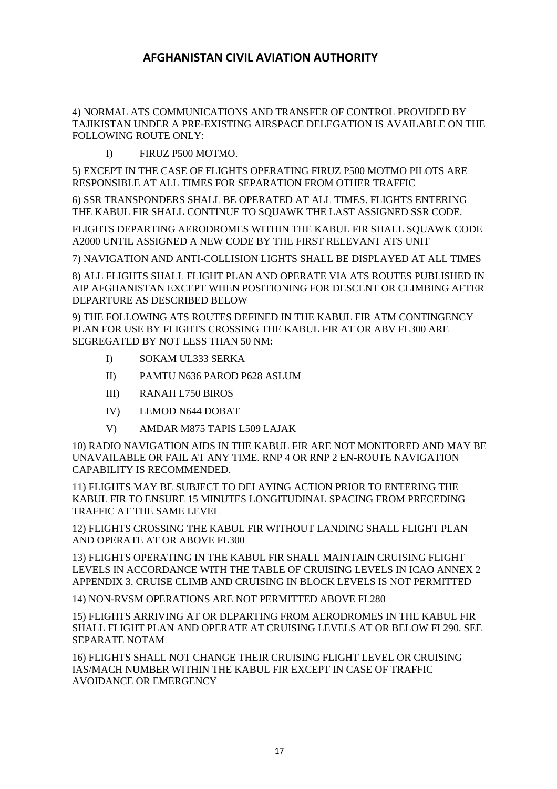4) NORMAL ATS COMMUNICATIONS AND TRANSFER OF CONTROL PROVIDED BY TAJIKISTAN UNDER A PRE-EXISTING AIRSPACE DELEGATION IS AVAILABLE ON THE FOLLOWING ROUTE ONLY:

I) FIRUZ P500 MOTMO.

5) EXCEPT IN THE CASE OF FLIGHTS OPERATING FIRUZ P500 MOTMO PILOTS ARE RESPONSIBLE AT ALL TIMES FOR SEPARATION FROM OTHER TRAFFIC

6) SSR TRANSPONDERS SHALL BE OPERATED AT ALL TIMES. FLIGHTS ENTERING THE KABUL FIR SHALL CONTINUE TO SQUAWK THE LAST ASSIGNED SSR CODE.

FLIGHTS DEPARTING AERODROMES WITHIN THE KABUL FIR SHALL SQUAWK CODE A2000 UNTIL ASSIGNED A NEW CODE BY THE FIRST RELEVANT ATS UNIT

7) NAVIGATION AND ANTI-COLLISION LIGHTS SHALL BE DISPLAYED AT ALL TIMES

8) ALL FLIGHTS SHALL FLIGHT PLAN AND OPERATE VIA ATS ROUTES PUBLISHED IN AIP AFGHANISTAN EXCEPT WHEN POSITIONING FOR DESCENT OR CLIMBING AFTER DEPARTURE AS DESCRIBED BELOW

9) THE FOLLOWING ATS ROUTES DEFINED IN THE KABUL FIR ATM CONTINGENCY PLAN FOR USE BY FLIGHTS CROSSING THE KABUL FIR AT OR ABV FL300 ARE SEGREGATED BY NOT LESS THAN 50 NM:

- I) SOKAM UL333 SERKA
- II) PAMTU N636 PAROD P628 ASLUM
- III) RANAH L750 BIROS
- IV) LEMOD N644 DOBAT
- V) AMDAR M875 TAPIS L509 LAJAK

10) RADIO NAVIGATION AIDS IN THE KABUL FIR ARE NOT MONITORED AND MAY BE UNAVAILABLE OR FAIL AT ANY TIME. RNP 4 OR RNP 2 EN-ROUTE NAVIGATION CAPABILITY IS RECOMMENDED.

11) FLIGHTS MAY BE SUBJECT TO DELAYING ACTION PRIOR TO ENTERING THE KABUL FIR TO ENSURE 15 MINUTES LONGITUDINAL SPACING FROM PRECEDING TRAFFIC AT THE SAME LEVEL

12) FLIGHTS CROSSING THE KABUL FIR WITHOUT LANDING SHALL FLIGHT PLAN AND OPERATE AT OR ABOVE FL300

13) FLIGHTS OPERATING IN THE KABUL FIR SHALL MAINTAIN CRUISING FLIGHT LEVELS IN ACCORDANCE WITH THE TABLE OF CRUISING LEVELS IN ICAO ANNEX 2 APPENDIX 3. CRUISE CLIMB AND CRUISING IN BLOCK LEVELS IS NOT PERMITTED

14) NON-RVSM OPERATIONS ARE NOT PERMITTED ABOVE FL280

15) FLIGHTS ARRIVING AT OR DEPARTING FROM AERODROMES IN THE KABUL FIR SHALL FLIGHT PLAN AND OPERATE AT CRUISING LEVELS AT OR BELOW FL290. SEE SEPARATE NOTAM

16) FLIGHTS SHALL NOT CHANGE THEIR CRUISING FLIGHT LEVEL OR CRUISING IAS/MACH NUMBER WITHIN THE KABUL FIR EXCEPT IN CASE OF TRAFFIC AVOIDANCE OR EMERGENCY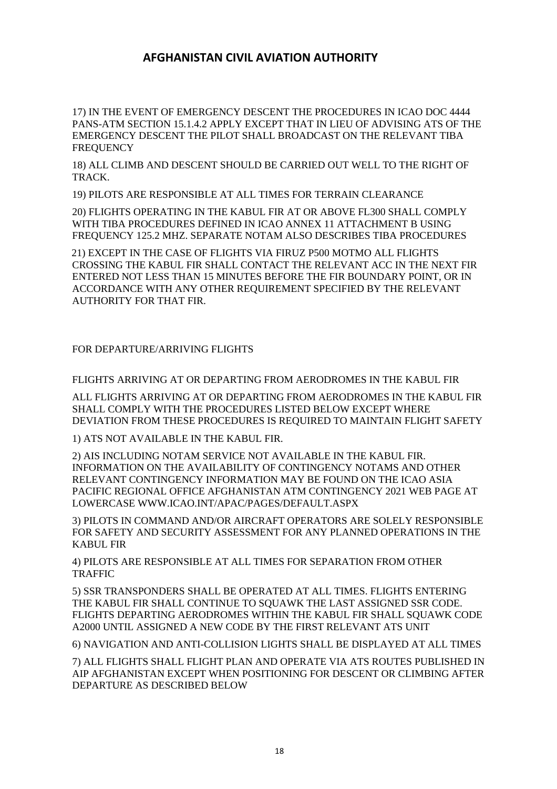17) IN THE EVENT OF EMERGENCY DESCENT THE PROCEDURES IN ICAO DOC 4444 PANS-ATM SECTION 15.1.4.2 APPLY EXCEPT THAT IN LIEU OF ADVISING ATS OF THE EMERGENCY DESCENT THE PILOT SHALL BROADCAST ON THE RELEVANT TIBA **FREQUENCY** 

18) ALL CLIMB AND DESCENT SHOULD BE CARRIED OUT WELL TO THE RIGHT OF TRACK.

19) PILOTS ARE RESPONSIBLE AT ALL TIMES FOR TERRAIN CLEARANCE

20) FLIGHTS OPERATING IN THE KABUL FIR AT OR ABOVE FL300 SHALL COMPLY WITH TIBA PROCEDURES DEFINED IN ICAO ANNEX 11 ATTACHMENT B USING FREQUENCY 125.2 MHZ. SEPARATE NOTAM ALSO DESCRIBES TIBA PROCEDURES

21) EXCEPT IN THE CASE OF FLIGHTS VIA FIRUZ P500 MOTMO ALL FLIGHTS CROSSING THE KABUL FIR SHALL CONTACT THE RELEVANT ACC IN THE NEXT FIR ENTERED NOT LESS THAN 15 MINUTES BEFORE THE FIR BOUNDARY POINT, OR IN ACCORDANCE WITH ANY OTHER REQUIREMENT SPECIFIED BY THE RELEVANT AUTHORITY FOR THAT FIR.

#### FOR DEPARTURE/ARRIVING FLIGHTS

FLIGHTS ARRIVING AT OR DEPARTING FROM AERODROMES IN THE KABUL FIR

ALL FLIGHTS ARRIVING AT OR DEPARTING FROM AERODROMES IN THE KABUL FIR SHALL COMPLY WITH THE PROCEDURES LISTED BELOW EXCEPT WHERE DEVIATION FROM THESE PROCEDURES IS REQUIRED TO MAINTAIN FLIGHT SAFETY

1) ATS NOT AVAILABLE IN THE KABUL FIR.

2) AIS INCLUDING NOTAM SERVICE NOT AVAILABLE IN THE KABUL FIR. INFORMATION ON THE AVAILABILITY OF CONTINGENCY NOTAMS AND OTHER RELEVANT CONTINGENCY INFORMATION MAY BE FOUND ON THE ICAO ASIA PACIFIC REGIONAL OFFICE AFGHANISTAN ATM CONTINGENCY 2021 WEB PAGE AT LOWERCASE WWW.ICAO.INT/APAC/PAGES/DEFAULT.ASPX

3) PILOTS IN COMMAND AND/OR AIRCRAFT OPERATORS ARE SOLELY RESPONSIBLE FOR SAFETY AND SECURITY ASSESSMENT FOR ANY PLANNED OPERATIONS IN THE KABUL FIR

4) PILOTS ARE RESPONSIBLE AT ALL TIMES FOR SEPARATION FROM OTHER TRAFFIC

5) SSR TRANSPONDERS SHALL BE OPERATED AT ALL TIMES. FLIGHTS ENTERING THE KABUL FIR SHALL CONTINUE TO SQUAWK THE LAST ASSIGNED SSR CODE. FLIGHTS DEPARTING AERODROMES WITHIN THE KABUL FIR SHALL SQUAWK CODE A2000 UNTIL ASSIGNED A NEW CODE BY THE FIRST RELEVANT ATS UNIT

6) NAVIGATION AND ANTI-COLLISION LIGHTS SHALL BE DISPLAYED AT ALL TIMES

7) ALL FLIGHTS SHALL FLIGHT PLAN AND OPERATE VIA ATS ROUTES PUBLISHED IN AIP AFGHANISTAN EXCEPT WHEN POSITIONING FOR DESCENT OR CLIMBING AFTER DEPARTURE AS DESCRIBED BELOW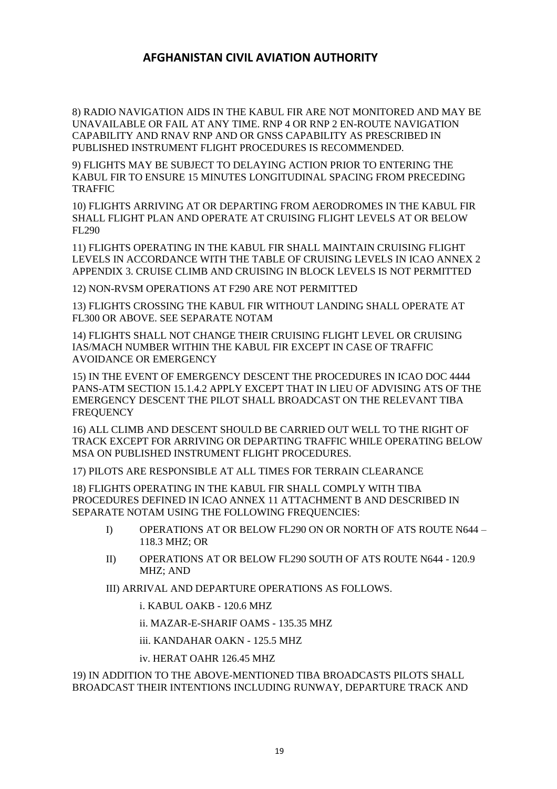8) RADIO NAVIGATION AIDS IN THE KABUL FIR ARE NOT MONITORED AND MAY BE UNAVAILABLE OR FAIL AT ANY TIME. RNP 4 OR RNP 2 EN-ROUTE NAVIGATION CAPABILITY AND RNAV RNP AND OR GNSS CAPABILITY AS PRESCRIBED IN PUBLISHED INSTRUMENT FLIGHT PROCEDURES IS RECOMMENDED.

9) FLIGHTS MAY BE SUBJECT TO DELAYING ACTION PRIOR TO ENTERING THE KABUL FIR TO ENSURE 15 MINUTES LONGITUDINAL SPACING FROM PRECEDING TRAFFIC

10) FLIGHTS ARRIVING AT OR DEPARTING FROM AERODROMES IN THE KABUL FIR SHALL FLIGHT PLAN AND OPERATE AT CRUISING FLIGHT LEVELS AT OR BELOW FL290

11) FLIGHTS OPERATING IN THE KABUL FIR SHALL MAINTAIN CRUISING FLIGHT LEVELS IN ACCORDANCE WITH THE TABLE OF CRUISING LEVELS IN ICAO ANNEX 2 APPENDIX 3. CRUISE CLIMB AND CRUISING IN BLOCK LEVELS IS NOT PERMITTED

12) NON-RVSM OPERATIONS AT F290 ARE NOT PERMITTED

13) FLIGHTS CROSSING THE KABUL FIR WITHOUT LANDING SHALL OPERATE AT FL300 OR ABOVE. SEE SEPARATE NOTAM

14) FLIGHTS SHALL NOT CHANGE THEIR CRUISING FLIGHT LEVEL OR CRUISING IAS/MACH NUMBER WITHIN THE KABUL FIR EXCEPT IN CASE OF TRAFFIC AVOIDANCE OR EMERGENCY

15) IN THE EVENT OF EMERGENCY DESCENT THE PROCEDURES IN ICAO DOC 4444 PANS-ATM SECTION 15.1.4.2 APPLY EXCEPT THAT IN LIEU OF ADVISING ATS OF THE EMERGENCY DESCENT THE PILOT SHALL BROADCAST ON THE RELEVANT TIBA **FREQUENCY** 

16) ALL CLIMB AND DESCENT SHOULD BE CARRIED OUT WELL TO THE RIGHT OF TRACK EXCEPT FOR ARRIVING OR DEPARTING TRAFFIC WHILE OPERATING BELOW MSA ON PUBLISHED INSTRUMENT FLIGHT PROCEDURES.

17) PILOTS ARE RESPONSIBLE AT ALL TIMES FOR TERRAIN CLEARANCE

18) FLIGHTS OPERATING IN THE KABUL FIR SHALL COMPLY WITH TIBA PROCEDURES DEFINED IN ICAO ANNEX 11 ATTACHMENT B AND DESCRIBED IN SEPARATE NOTAM USING THE FOLLOWING FREQUENCIES:

- I) OPERATIONS AT OR BELOW FL290 ON OR NORTH OF ATS ROUTE N644 118.3 MHZ; OR
- II) OPERATIONS AT OR BELOW FL290 SOUTH OF ATS ROUTE N644 120.9 MHZ; AND

III) ARRIVAL AND DEPARTURE OPERATIONS AS FOLLOWS.

i. KABUL OAKB - 120.6 MHZ

ii. MAZAR-E-SHARIF OAMS - 135.35 MHZ

iii. KANDAHAR OAKN - 125.5 MHZ

iv. HERAT OAHR 126.45 MHZ

19) IN ADDITION TO THE ABOVE-MENTIONED TIBA BROADCASTS PILOTS SHALL BROADCAST THEIR INTENTIONS INCLUDING RUNWAY, DEPARTURE TRACK AND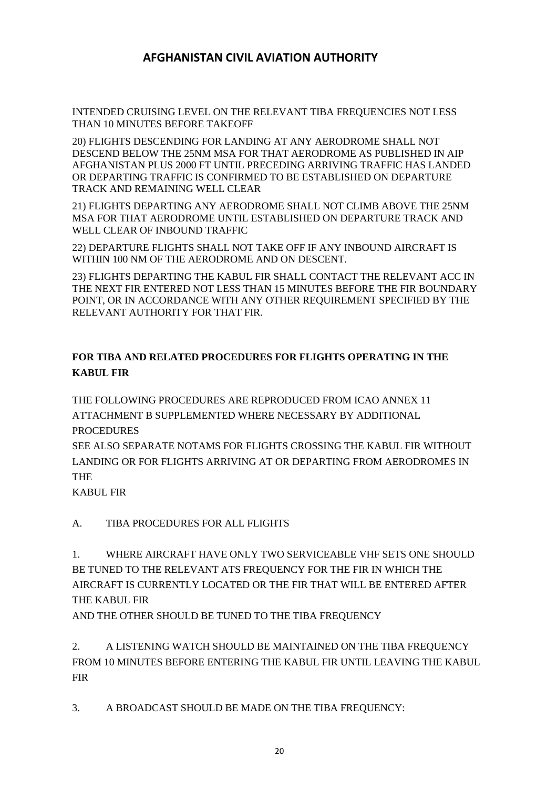INTENDED CRUISING LEVEL ON THE RELEVANT TIBA FREQUENCIES NOT LESS THAN 10 MINUTES BEFORE TAKEOFF

20) FLIGHTS DESCENDING FOR LANDING AT ANY AERODROME SHALL NOT DESCEND BELOW THE 25NM MSA FOR THAT AERODROME AS PUBLISHED IN AIP AFGHANISTAN PLUS 2000 FT UNTIL PRECEDING ARRIVING TRAFFIC HAS LANDED OR DEPARTING TRAFFIC IS CONFIRMED TO BE ESTABLISHED ON DEPARTURE TRACK AND REMAINING WELL CLEAR

21) FLIGHTS DEPARTING ANY AERODROME SHALL NOT CLIMB ABOVE THE 25NM MSA FOR THAT AERODROME UNTIL ESTABLISHED ON DEPARTURE TRACK AND WELL CLEAR OF INBOUND TRAFFIC

22) DEPARTURE FLIGHTS SHALL NOT TAKE OFF IF ANY INBOUND AIRCRAFT IS WITHIN 100 NM OF THE AERODROME AND ON DESCENT.

23) FLIGHTS DEPARTING THE KABUL FIR SHALL CONTACT THE RELEVANT ACC IN THE NEXT FIR ENTERED NOT LESS THAN 15 MINUTES BEFORE THE FIR BOUNDARY POINT, OR IN ACCORDANCE WITH ANY OTHER REQUIREMENT SPECIFIED BY THE RELEVANT AUTHORITY FOR THAT FIR.

### **FOR TIBA AND RELATED PROCEDURES FOR FLIGHTS OPERATING IN THE KABUL FIR**

THE FOLLOWING PROCEDURES ARE REPRODUCED FROM ICAO ANNEX 11 ATTACHMENT B SUPPLEMENTED WHERE NECESSARY BY ADDITIONAL PROCEDURES

SEE ALSO SEPARATE NOTAMS FOR FLIGHTS CROSSING THE KABUL FIR WITHOUT LANDING OR FOR FLIGHTS ARRIVING AT OR DEPARTING FROM AERODROMES IN THE

KABUL FIR

A. TIBA PROCEDURES FOR ALL FLIGHTS

1. WHERE AIRCRAFT HAVE ONLY TWO SERVICEABLE VHF SETS ONE SHOULD BE TUNED TO THE RELEVANT ATS FREQUENCY FOR THE FIR IN WHICH THE AIRCRAFT IS CURRENTLY LOCATED OR THE FIR THAT WILL BE ENTERED AFTER THE KABUL FIR

AND THE OTHER SHOULD BE TUNED TO THE TIBA FREQUENCY

2. A LISTENING WATCH SHOULD BE MAINTAINED ON THE TIBA FREQUENCY FROM 10 MINUTES BEFORE ENTERING THE KABUL FIR UNTIL LEAVING THE KABUL FIR

3. A BROADCAST SHOULD BE MADE ON THE TIBA FREQUENCY: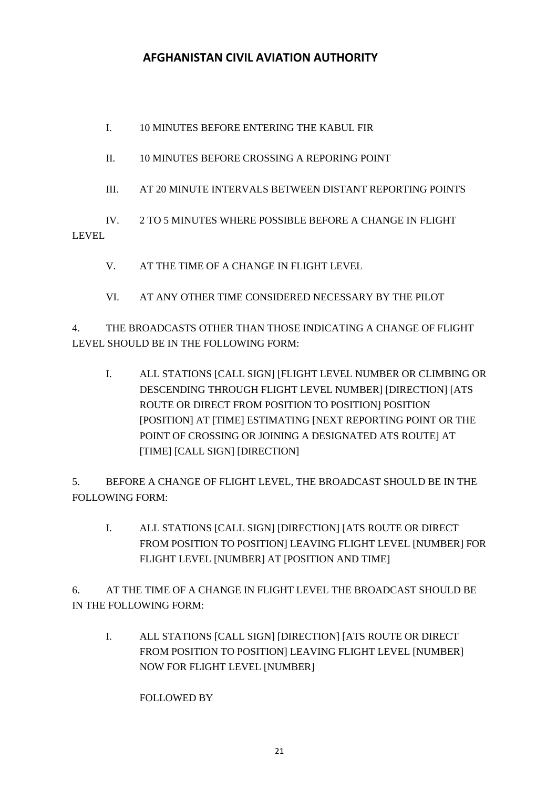I. 10 MINUTES BEFORE ENTERING THE KABUL FIR

II. 10 MINUTES BEFORE CROSSING A REPORING POINT

III. AT 20 MINUTE INTERVALS BETWEEN DISTANT REPORTING POINTS

IV. 2 TO 5 MINUTES WHERE POSSIBLE BEFORE A CHANGE IN FLIGHT LEVEL

- V. AT THE TIME OF A CHANGE IN FLIGHT LEVEL
- VI. AT ANY OTHER TIME CONSIDERED NECESSARY BY THE PILOT

4. THE BROADCASTS OTHER THAN THOSE INDICATING A CHANGE OF FLIGHT LEVEL SHOULD BE IN THE FOLLOWING FORM:

I. ALL STATIONS [CALL SIGN] [FLIGHT LEVEL NUMBER OR CLIMBING OR DESCENDING THROUGH FLIGHT LEVEL NUMBER] [DIRECTION] [ATS ROUTE OR DIRECT FROM POSITION TO POSITION] POSITION [POSITION] AT [TIME] ESTIMATING [NEXT REPORTING POINT OR THE POINT OF CROSSING OR JOINING A DESIGNATED ATS ROUTE] AT [TIME] [CALL SIGN] [DIRECTION]

5. BEFORE A CHANGE OF FLIGHT LEVEL, THE BROADCAST SHOULD BE IN THE FOLLOWING FORM:

I. ALL STATIONS [CALL SIGN] [DIRECTION] [ATS ROUTE OR DIRECT FROM POSITION TO POSITION] LEAVING FLIGHT LEVEL [NUMBER] FOR FLIGHT LEVEL [NUMBER] AT [POSITION AND TIME]

6. AT THE TIME OF A CHANGE IN FLIGHT LEVEL THE BROADCAST SHOULD BE IN THE FOLLOWING FORM:

I. ALL STATIONS [CALL SIGN] [DIRECTION] [ATS ROUTE OR DIRECT FROM POSITION TO POSITION] LEAVING FLIGHT LEVEL [NUMBER] NOW FOR FLIGHT LEVEL [NUMBER]

FOLLOWED BY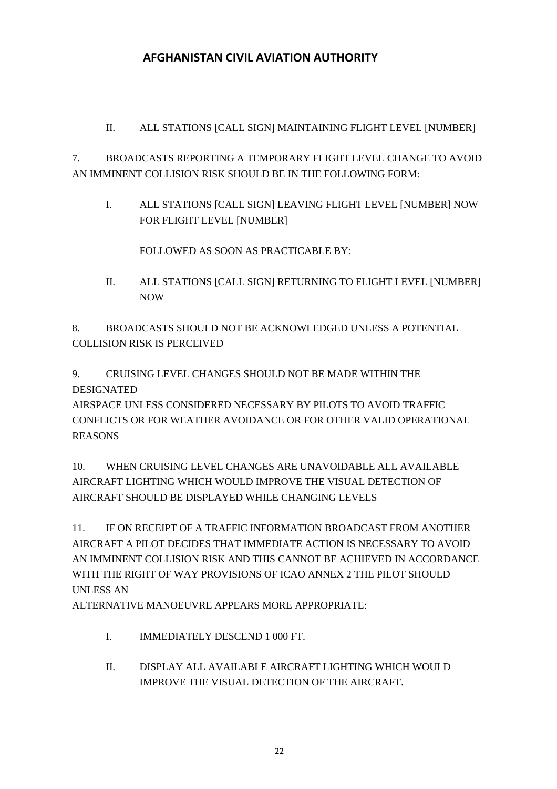II. ALL STATIONS [CALL SIGN] MAINTAINING FLIGHT LEVEL [NUMBER]

7. BROADCASTS REPORTING A TEMPORARY FLIGHT LEVEL CHANGE TO AVOID AN IMMINENT COLLISION RISK SHOULD BE IN THE FOLLOWING FORM:

I. ALL STATIONS [CALL SIGN] LEAVING FLIGHT LEVEL [NUMBER] NOW FOR FLIGHT LEVEL [NUMBER]

FOLLOWED AS SOON AS PRACTICABLE BY:

II. ALL STATIONS [CALL SIGN] RETURNING TO FLIGHT LEVEL [NUMBER] NOW

8. BROADCASTS SHOULD NOT BE ACKNOWLEDGED UNLESS A POTENTIAL COLLISION RISK IS PERCEIVED

9. CRUISING LEVEL CHANGES SHOULD NOT BE MADE WITHIN THE DESIGNATED

AIRSPACE UNLESS CONSIDERED NECESSARY BY PILOTS TO AVOID TRAFFIC CONFLICTS OR FOR WEATHER AVOIDANCE OR FOR OTHER VALID OPERATIONAL REASONS

10. WHEN CRUISING LEVEL CHANGES ARE UNAVOIDABLE ALL AVAILABLE AIRCRAFT LIGHTING WHICH WOULD IMPROVE THE VISUAL DETECTION OF AIRCRAFT SHOULD BE DISPLAYED WHILE CHANGING LEVELS

11. IF ON RECEIPT OF A TRAFFIC INFORMATION BROADCAST FROM ANOTHER AIRCRAFT A PILOT DECIDES THAT IMMEDIATE ACTION IS NECESSARY TO AVOID AN IMMINENT COLLISION RISK AND THIS CANNOT BE ACHIEVED IN ACCORDANCE WITH THE RIGHT OF WAY PROVISIONS OF ICAO ANNEX 2 THE PILOT SHOULD UNLESS AN

ALTERNATIVE MANOEUVRE APPEARS MORE APPROPRIATE:

- I. IMMEDIATELY DESCEND 1 000 FT.
- II. DISPLAY ALL AVAILABLE AIRCRAFT LIGHTING WHICH WOULD IMPROVE THE VISUAL DETECTION OF THE AIRCRAFT.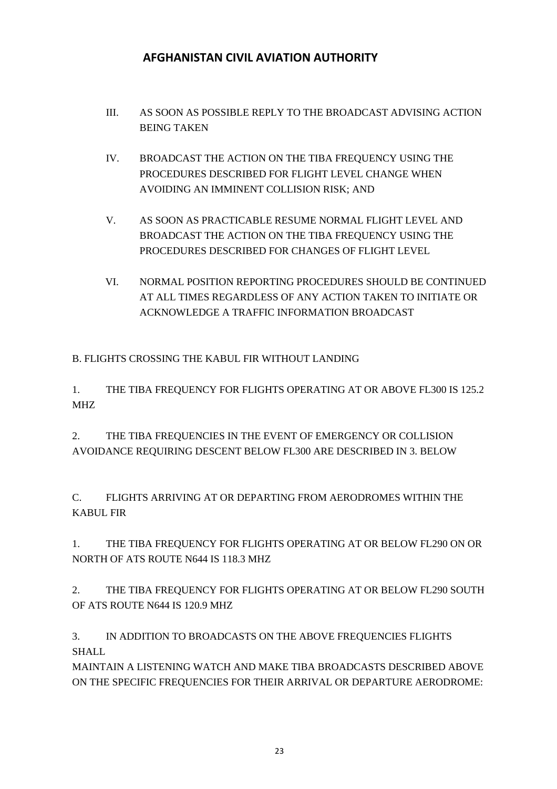- III. AS SOON AS POSSIBLE REPLY TO THE BROADCAST ADVISING ACTION BEING TAKEN
- IV. BROADCAST THE ACTION ON THE TIBA FREQUENCY USING THE PROCEDURES DESCRIBED FOR FLIGHT LEVEL CHANGE WHEN AVOIDING AN IMMINENT COLLISION RISK; AND
- V. AS SOON AS PRACTICABLE RESUME NORMAL FLIGHT LEVEL AND BROADCAST THE ACTION ON THE TIBA FREQUENCY USING THE PROCEDURES DESCRIBED FOR CHANGES OF FLIGHT LEVEL
- VI. NORMAL POSITION REPORTING PROCEDURES SHOULD BE CONTINUED AT ALL TIMES REGARDLESS OF ANY ACTION TAKEN TO INITIATE OR ACKNOWLEDGE A TRAFFIC INFORMATION BROADCAST

B. FLIGHTS CROSSING THE KABUL FIR WITHOUT LANDING

1. THE TIBA FREQUENCY FOR FLIGHTS OPERATING AT OR ABOVE FL300 IS 125.2 MHZ

2. THE TIBA FREQUENCIES IN THE EVENT OF EMERGENCY OR COLLISION AVOIDANCE REQUIRING DESCENT BELOW FL300 ARE DESCRIBED IN 3. BELOW

C. FLIGHTS ARRIVING AT OR DEPARTING FROM AERODROMES WITHIN THE KABUL FIR

1. THE TIBA FREQUENCY FOR FLIGHTS OPERATING AT OR BELOW FL290 ON OR NORTH OF ATS ROUTE N644 IS 118.3 MHZ

2. THE TIBA FREQUENCY FOR FLIGHTS OPERATING AT OR BELOW FL290 SOUTH OF ATS ROUTE N644 IS 120.9 MHZ

3. IN ADDITION TO BROADCASTS ON THE ABOVE FREQUENCIES FLIGHTS **SHALL** 

MAINTAIN A LISTENING WATCH AND MAKE TIBA BROADCASTS DESCRIBED ABOVE ON THE SPECIFIC FREQUENCIES FOR THEIR ARRIVAL OR DEPARTURE AERODROME: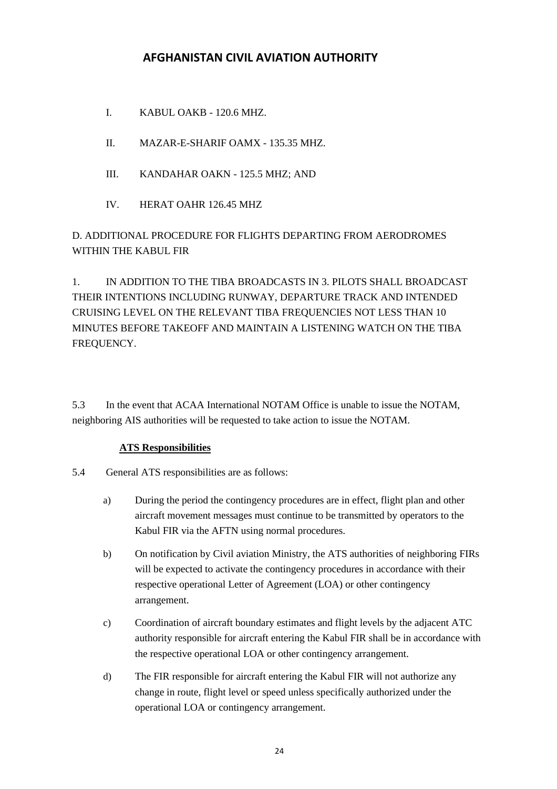- I. KABUL OAKB 120.6 MHZ.
- II. MAZAR-E-SHARIF OAMX 135.35 MHZ.
- III. KANDAHAR OAKN 125.5 MHZ; AND
- IV. HERAT OAHR 126.45 MHZ

D. ADDITIONAL PROCEDURE FOR FLIGHTS DEPARTING FROM AERODROMES WITHIN THE KABUL FIR

1. IN ADDITION TO THE TIBA BROADCASTS IN 3. PILOTS SHALL BROADCAST THEIR INTENTIONS INCLUDING RUNWAY, DEPARTURE TRACK AND INTENDED CRUISING LEVEL ON THE RELEVANT TIBA FREQUENCIES NOT LESS THAN 10 MINUTES BEFORE TAKEOFF AND MAINTAIN A LISTENING WATCH ON THE TIBA FREQUENCY.

5.3 In the event that ACAA International NOTAM Office is unable to issue the NOTAM, neighboring AIS authorities will be requested to take action to issue the NOTAM.

### **ATS Responsibilities**

- 5.4 General ATS responsibilities are as follows:
	- a) During the period the contingency procedures are in effect, flight plan and other aircraft movement messages must continue to be transmitted by operators to the Kabul FIR via the AFTN using normal procedures.
	- b) On notification by Civil aviation Ministry, the ATS authorities of neighboring FIRs will be expected to activate the contingency procedures in accordance with their respective operational Letter of Agreement (LOA) or other contingency arrangement.
	- c) Coordination of aircraft boundary estimates and flight levels by the adjacent ATC authority responsible for aircraft entering the Kabul FIR shall be in accordance with the respective operational LOA or other contingency arrangement.
	- d) The FIR responsible for aircraft entering the Kabul FIR will not authorize any change in route, flight level or speed unless specifically authorized under the operational LOA or contingency arrangement.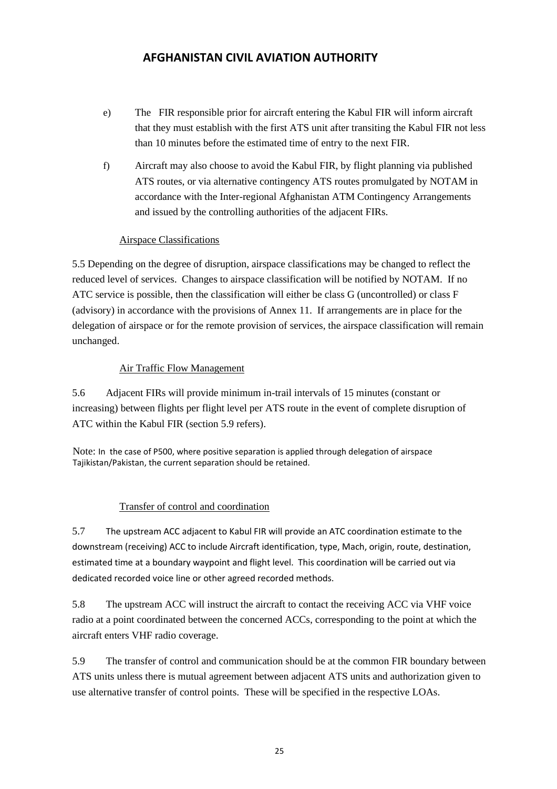- e) The FIR responsible prior for aircraft entering the Kabul FIR will inform aircraft that they must establish with the first ATS unit after transiting the Kabul FIR not less than 10 minutes before the estimated time of entry to the next FIR.
- f) Aircraft may also choose to avoid the Kabul FIR, by flight planning via published ATS routes, or via alternative contingency ATS routes promulgated by NOTAM in accordance with the Inter-regional Afghanistan ATM Contingency Arrangements and issued by the controlling authorities of the adjacent FIRs.

#### Airspace Classifications

5.5 Depending on the degree of disruption, airspace classifications may be changed to reflect the reduced level of services. Changes to airspace classification will be notified by NOTAM. If no ATC service is possible, then the classification will either be class G (uncontrolled) or class F (advisory) in accordance with the provisions of Annex 11. If arrangements are in place for the delegation of airspace or for the remote provision of services, the airspace classification will remain unchanged.

#### Air Traffic Flow Management

5.6 Adjacent FIRs will provide minimum in-trail intervals of 15 minutes (constant or increasing) between flights per flight level per ATS route in the event of complete disruption of ATC within the Kabul FIR (section 5.9 refers).

Note: In the case of P500, where positive separation is applied through delegation of airspace Tajikistan/Pakistan, the current separation should be retained.

### Transfer of control and coordination

5.7 The upstream ACC adjacent to Kabul FIR will provide an ATC coordination estimate to the downstream (receiving) ACC to include Aircraft identification, type, Mach, origin, route, destination, estimated time at a boundary waypoint and flight level. This coordination will be carried out via dedicated recorded voice line or other agreed recorded methods.

5.8 The upstream ACC will instruct the aircraft to contact the receiving ACC via VHF voice radio at a point coordinated between the concerned ACCs, corresponding to the point at which the aircraft enters VHF radio coverage.

5.9 The transfer of control and communication should be at the common FIR boundary between ATS units unless there is mutual agreement between adjacent ATS units and authorization given to use alternative transfer of control points. These will be specified in the respective LOAs.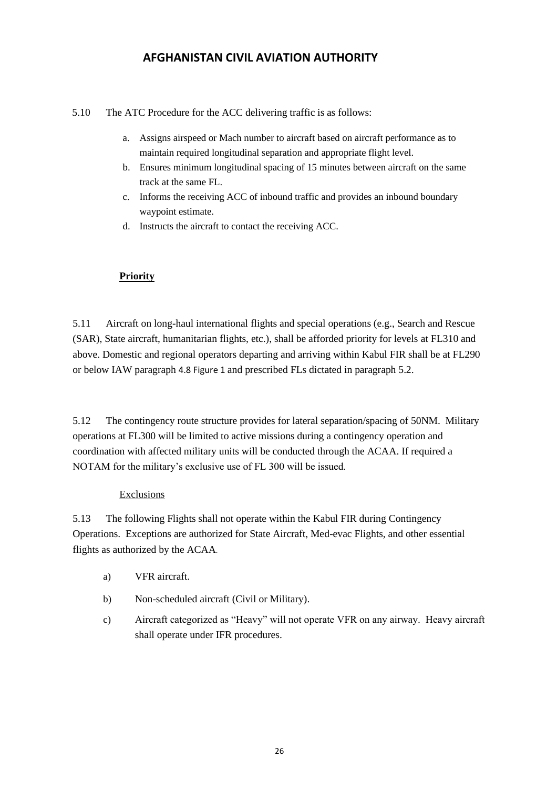5.10 The ATC Procedure for the ACC delivering traffic is as follows:

- a. Assigns airspeed or Mach number to aircraft based on aircraft performance as to maintain required longitudinal separation and appropriate flight level.
- b. Ensures minimum longitudinal spacing of 15 minutes between aircraft on the same track at the same FL.
- c. Informs the receiving ACC of inbound traffic and provides an inbound boundary waypoint estimate.
- d. Instructs the aircraft to contact the receiving ACC.

### **Priority**

5.11 Aircraft on long-haul international flights and special operations (e.g., Search and Rescue (SAR), State aircraft, humanitarian flights, etc.), shall be afforded priority for levels at FL310 and above. Domestic and regional operators departing and arriving within Kabul FIR shall be at FL290 or below IAW paragraph 4.8 Figure 1 and prescribed FLs dictated in paragraph 5.2.

5.12 The contingency route structure provides for lateral separation/spacing of 50NM. Military operations at FL300 will be limited to active missions during a contingency operation and coordination with affected military units will be conducted through the ACAA. If required a NOTAM for the military's exclusive use of FL 300 will be issued.

#### **Exclusions**

5.13 The following Flights shall not operate within the Kabul FIR during Contingency Operations. Exceptions are authorized for State Aircraft, Med-evac Flights, and other essential flights as authorized by the ACAA.

- a) VFR aircraft.
- b) Non-scheduled aircraft (Civil or Military).
- c) Aircraft categorized as "Heavy" will not operate VFR on any airway. Heavy aircraft shall operate under IFR procedures.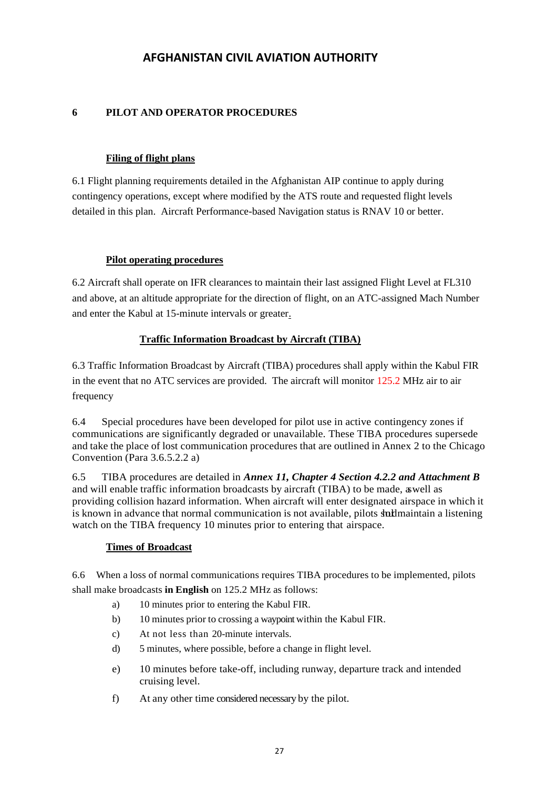#### **6 PILOT AND OPERATOR PROCEDURES**

#### **Filing of flight plans**

6.1 Flight planning requirements detailed in the Afghanistan AIP continue to apply during contingency operations, except where modified by the ATS route and requested flight levels detailed in this plan. Aircraft Performance-based Navigation status is RNAV 10 or better.

#### **Pilot operating procedures**

6.2 Aircraft shall operate on IFR clearances to maintain their last assigned Flight Level at FL310 and above, at an altitude appropriate for the direction of flight, on an ATC-assigned Mach Number and enter the Kabul at 15-minute intervals or greater.

#### **Traffic Information Broadcast by Aircraft (TIBA)**

6.3 Traffic Information Broadcast by Aircraft (TIBA) procedures shall apply within the Kabul FIR in the event that no ATC services are provided. The aircraft will monitor 125.2 MHz air to air frequency

6.4 Special procedures have been developed for pilot use in active contingency zones if communications are significantly degraded or unavailable. These TIBA procedures supersede and take the place of lost communication procedures that are outlined in Annex 2 to the Chicago Convention (Para 3.6.5.2.2 a)

6.5 TIBA procedures are detailed in *Annex 11, Chapter 4 Section 4.2.2 and Attachment B* and will enable traffic information broadcasts by aircraft (TIBA) to be made, aswell as providing collision hazard information. When aircraft will enter designated airspace in which it is known in advance that normal communication is not available, pilots start maintain a listening watch on the TIBA frequency 10 minutes prior to entering that airspace.

#### **Times of Broadcast**

6.6 When a loss of normal communications requires TIBA procedures to be implemented, pilots shall make broadcasts **in English** on 125.2 MHz as follows:

- a) 10 minutes prior to entering the Kabul FIR.
- b) 10 minutes prior to crossing a waypoint within the Kabul FIR.
- c) At not less than 20-minute intervals.
- d) 5 minutes, where possible, before a change in flight level.
- e) 10 minutes before take-off, including runway, departure track and intended cruising level.
- f) At any other time considered necessary by the pilot.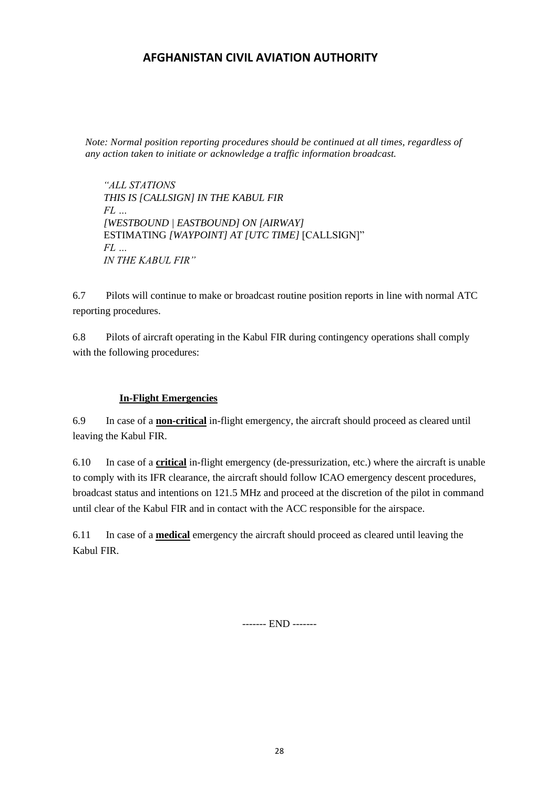*Note: Normal position reporting procedures should be continued at all times, regardless of any action taken to initiate or acknowledge a traffic information broadcast.*

*"ALL STATIONS THIS IS [CALLSIGN] IN THE KABUL FIR FL … [WESTBOUND | EASTBOUND] ON [AIRWAY]*  ESTIMATING *[WAYPOINT] AT [UTC TIME]* [CALLSIGN]" *FL … IN THE KABUL FIR"* 

6.7 Pilots will continue to make or broadcast routine position reports in line with normal ATC reporting procedures.

6.8 Pilots of aircraft operating in the Kabul FIR during contingency operations shall comply with the following procedures:

#### **In-Flight Emergencies**

6.9 In case of a **non-critical** in-flight emergency, the aircraft should proceed as cleared until leaving the Kabul FIR.

6.10 In case of a **critical** in-flight emergency (de-pressurization, etc.) where the aircraft is unable to comply with its IFR clearance, the aircraft should follow ICAO emergency descent procedures, broadcast status and intentions on 121.5 MHz and proceed at the discretion of the pilot in command until clear of the Kabul FIR and in contact with the ACC responsible for the airspace.

6.11 In case of a **medical** emergency the aircraft should proceed as cleared until leaving the Kabul FIR.

------- END -------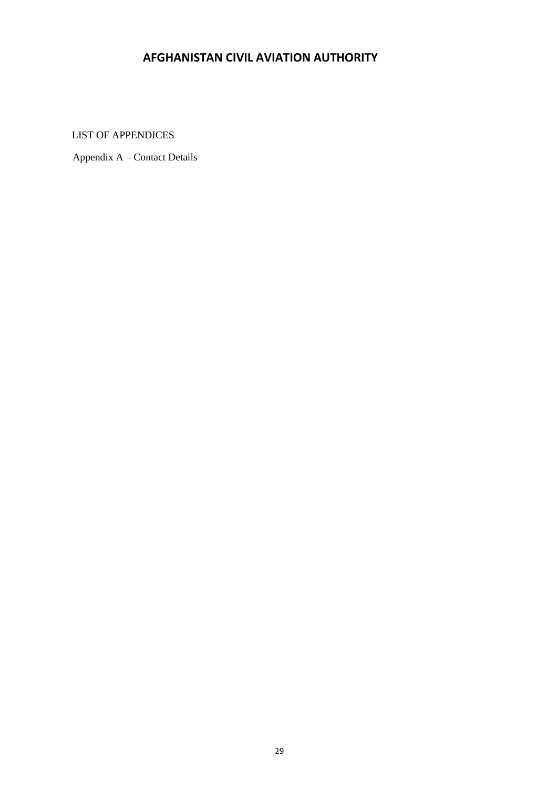<span id="page-28-0"></span>LIST OF APPENDICES

Appendix A – Contact Details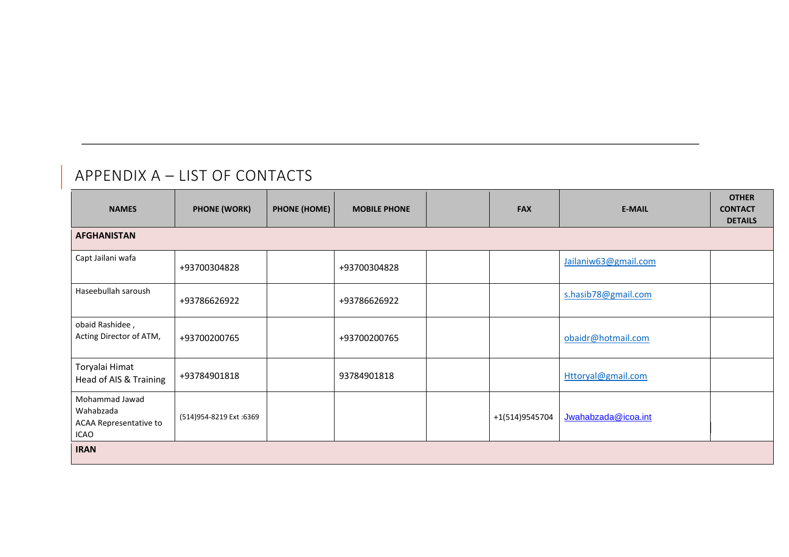# APPENDIX A – LIST OF CONTACTS

<span id="page-29-0"></span>

| <b>NAMES</b>                                                         | <b>PHONE (WORK)</b>     | <b>PHONE (HOME)</b> | <b>MOBILE PHONE</b> | <b>FAX</b>     | <b>E-MAIL</b>        | <b>OTHER</b><br><b>CONTACT</b><br><b>DETAILS</b> |
|----------------------------------------------------------------------|-------------------------|---------------------|---------------------|----------------|----------------------|--------------------------------------------------|
| <b>AFGHANISTAN</b>                                                   |                         |                     |                     |                |                      |                                                  |
| Capt Jailani wafa                                                    | +93700304828            |                     | +93700304828        |                | Jailaniw63@gmail.com |                                                  |
| Haseebullah saroush                                                  | +93786626922            |                     | +93786626922        |                | s.hasib78@gmail.com  |                                                  |
| obaid Rashidee,<br>Acting Director of ATM,                           | +93700200765            |                     | +93700200765        |                | obaidr@hotmail.com   |                                                  |
| Toryalai Himat<br>Head of AIS & Training                             | +93784901818            |                     | 93784901818         |                | Httoryal@gmail.com   |                                                  |
| Mohammad Jawad<br>Wahabzada<br><b>ACAA Representative to</b><br>ICAO | (514)954-8219 Ext :6369 |                     |                     | +1(514)9545704 | Jwahabzada@icoa.int  |                                                  |
| <b>IRAN</b>                                                          |                         |                     |                     |                |                      |                                                  |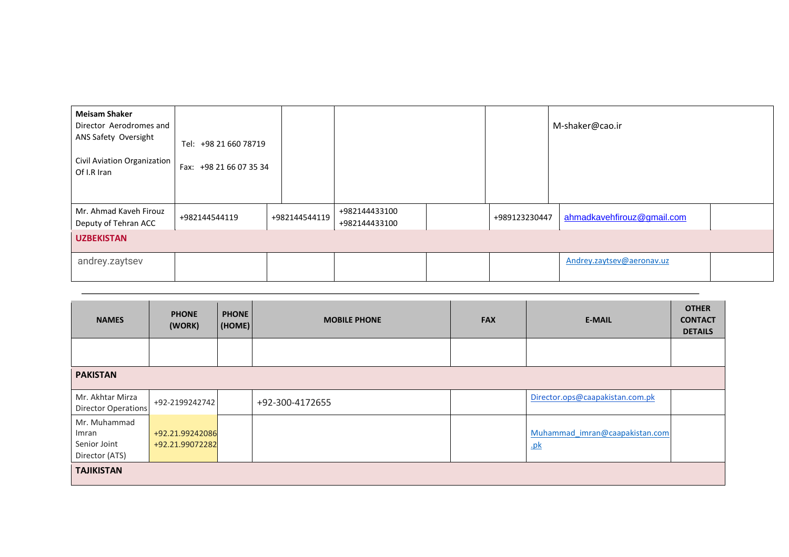| <b>Meisam Shaker</b><br>Director Aerodromes and<br>ANS Safety Oversight<br>Civil Aviation Organization<br>Of I.R Iran | Tel: +98 21 660 78719<br>Fax: +98 21 66 07 35 34 |               |                                |               | M-shaker@cao.ir            |
|-----------------------------------------------------------------------------------------------------------------------|--------------------------------------------------|---------------|--------------------------------|---------------|----------------------------|
| Mr. Ahmad Kaveh Firouz<br>Deputy of Tehran ACC                                                                        | +982144544119                                    | +982144544119 | +982144433100<br>+982144433100 | +989123230447 | ahmadkavehfirouz@gmail.com |
| <b>UZBEKISTAN</b>                                                                                                     |                                                  |               |                                |               |                            |
| andrey.zaytsev                                                                                                        |                                                  |               |                                |               | Andrey.zaytsev@aeronav.uz  |

| <b>NAMES</b>                                            | <b>PHONE</b><br>(WORK)             | <b>PHONE</b><br>(HOME) | <b>MOBILE PHONE</b> | <b>FAX</b> | <b>E-MAIL</b>                                               | <b>OTHER</b><br><b>CONTACT</b><br><b>DETAILS</b> |  |  |
|---------------------------------------------------------|------------------------------------|------------------------|---------------------|------------|-------------------------------------------------------------|--------------------------------------------------|--|--|
|                                                         |                                    |                        |                     |            |                                                             |                                                  |  |  |
| <b>PAKISTAN</b>                                         |                                    |                        |                     |            |                                                             |                                                  |  |  |
| Mr. Akhtar Mirza<br><b>Director Operations</b>          | +92-2199242742                     |                        | +92-300-4172655     |            | Director.ops@caapakistan.com.pk                             |                                                  |  |  |
| Mr. Muhammad<br>Imran<br>Senior Joint<br>Director (ATS) | +92.21.99242086<br>+92.21.99072282 |                        |                     |            | Muhammad imran@caapakistan.com<br>$\underline{\mathbf{pk}}$ |                                                  |  |  |
| <b>TAJIKISTAN</b>                                       |                                    |                        |                     |            |                                                             |                                                  |  |  |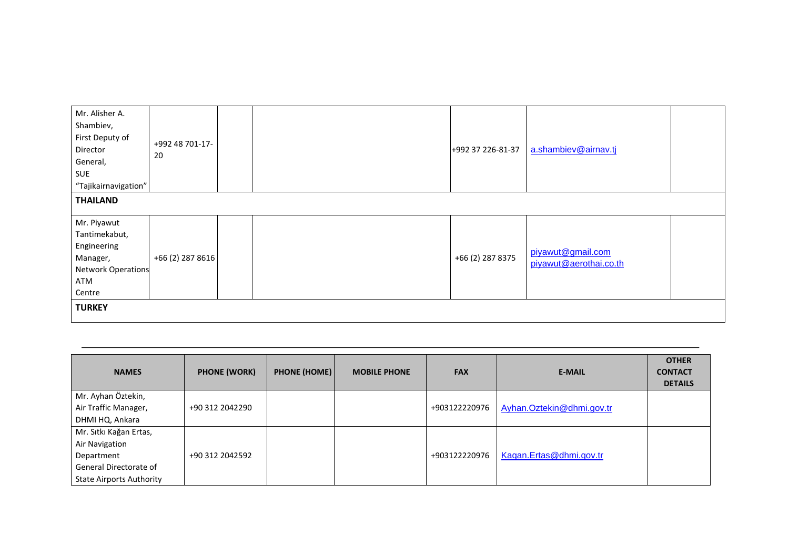| Mr. Alisher A.<br>Shambiev,<br>First Deputy of<br>Director<br>General,<br>SUE<br>"Tajikairnavigation" | +992 48 701-17-<br>20 |  |  | +992 37 226-81-37 | a.shambiev@airnav.tj                        |  |  |  |
|-------------------------------------------------------------------------------------------------------|-----------------------|--|--|-------------------|---------------------------------------------|--|--|--|
| <b>THAILAND</b>                                                                                       |                       |  |  |                   |                                             |  |  |  |
| Mr. Piyawut<br>Tantimekabut,<br>Engineering<br>Manager,<br><b>Network Operations</b><br>ATM<br>Centre | +66 (2) 287 8616      |  |  | +66 (2) 287 8375  | piyawut@gmail.com<br>piyawut@aerothai.co.th |  |  |  |
| <b>TURKEY</b>                                                                                         |                       |  |  |                   |                                             |  |  |  |

| <b>NAMES</b>                    | <b>PHONE (WORK)</b> | <b>PHONE (HOME)</b> | <b>MOBILE PHONE</b> | <b>FAX</b>    | <b>E-MAIL</b>             | <b>OTHER</b><br><b>CONTACT</b><br><b>DETAILS</b> |
|---------------------------------|---------------------|---------------------|---------------------|---------------|---------------------------|--------------------------------------------------|
| Mr. Ayhan Öztekin,              |                     |                     |                     |               |                           |                                                  |
| Air Traffic Manager,            | +90 312 2042290     |                     |                     | +903122220976 | Ayhan.Oztekin@dhmi.gov.tr |                                                  |
| DHMI HQ, Ankara                 |                     |                     |                     |               |                           |                                                  |
| Mr. Sıtkı Kağan Ertas,          |                     |                     |                     |               |                           |                                                  |
| Air Navigation                  |                     |                     |                     |               |                           |                                                  |
| Department                      | +90 312 2042592     |                     |                     | +903122220976 | Kagan.Ertas@dhmi.gov.tr   |                                                  |
| General Directorate of          |                     |                     |                     |               |                           |                                                  |
| <b>State Airports Authority</b> |                     |                     |                     |               |                           |                                                  |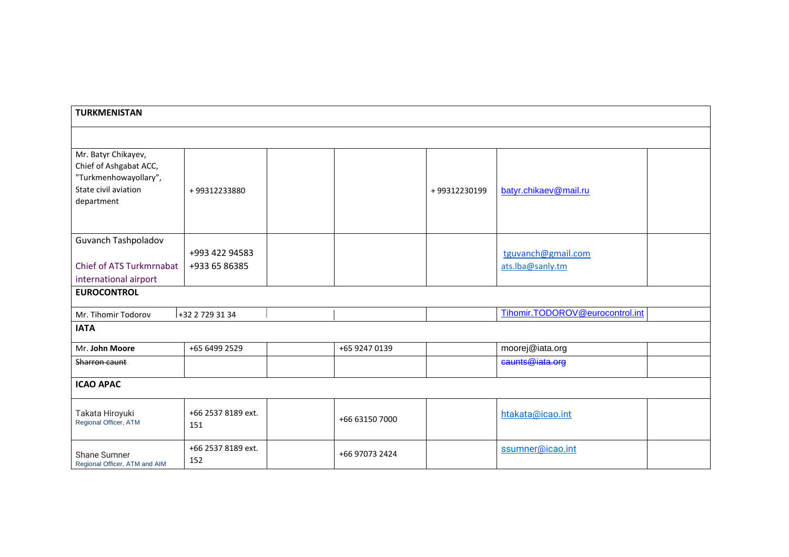| <b>TURKMENISTAN</b>                                                                                          |                                 |  |                |              |                                        |  |  |
|--------------------------------------------------------------------------------------------------------------|---------------------------------|--|----------------|--------------|----------------------------------------|--|--|
|                                                                                                              |                                 |  |                |              |                                        |  |  |
| Mr. Batyr Chikayev,<br>Chief of Ashgabat ACC,<br>"Turkmenhowayollary",<br>State civil aviation<br>department | +99312233880                    |  |                | +99312230199 | batyr.chikaev@mail.ru                  |  |  |
| Guvanch Tashpoladov<br>Chief of ATS Turkmrnabat<br>international airport                                     | +993 422 94583<br>+933 65 86385 |  |                |              | tguvanch@gmail.com<br>ats.lba@sanly.tm |  |  |
| <b>EUROCONTROL</b>                                                                                           |                                 |  |                |              |                                        |  |  |
| Mr. Tihomir Todorov                                                                                          | +32 2 729 31 34                 |  |                |              | Tihomir.TODOROV@eurocontrol.int        |  |  |
| <b>IATA</b>                                                                                                  |                                 |  |                |              |                                        |  |  |
| Mr. John Moore                                                                                               | +65 6499 2529                   |  | +65 9247 0139  |              | moorej@iata.org                        |  |  |
| Sharron caunt                                                                                                |                                 |  |                |              | caunts@iata.org                        |  |  |
| <b>ICAO APAC</b>                                                                                             |                                 |  |                |              |                                        |  |  |
| Takata Hiroyuki<br>Regional Officer, ATM                                                                     | +66 2537 8189 ext.<br>151       |  | +66 63150 7000 |              | htakata@icao.int                       |  |  |
| Shane Sumner<br>Regional Officer, ATM and AIM                                                                | +66 2537 8189 ext.<br>152       |  | +66 97073 2424 |              | ssumner@icao.int                       |  |  |